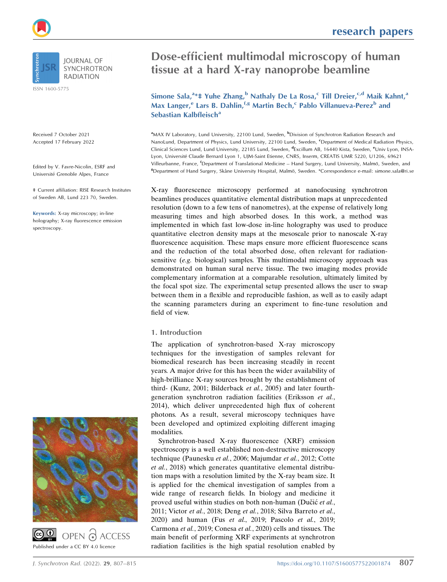ISSN 1600-5775

Received 7 October 2021 Accepted 17 February 2022

Edited by V. Favre-Nicolin, ESRF and Université Grenoble Alpes, France

‡ Current affiliation: RISE Research Institutes of Sweden AB, Lund 223 70, Sweden.

Keywords: X-ray microscopy; in-line holography; X-ray fluorescence emission spectroscopy.





research papers

# Dose-efficient multimodal microscopy of human tissue at a hard X-ray nanoprobe beamline

Simone Sala,<sup>a</sup> \* Yuhe Zhang,<sup>b</sup> Nathaly De La Rosa,<sup>c</sup> Till Dreier,<sup>c,d</sup> Maik Kahnt,<sup>a</sup> Max Langer,<sup>e</sup> Lars B. Dahlin,<sup>f,g</sup> Martin Bech,<sup>c</sup> Pablo Villanueva-Perez<sup>b</sup> and Sebastian Kalbfleisch<sup>a</sup>

<sup>a</sup>MAX IV Laboratory, Lund University, 22100 Lund, Sweden, <sup>b</sup>Division of Synchrotron Radiation Research and NanoLund, Department of Physics, Lund University, 22100 Lund, Sweden, <sup>c</sup>Department of Medical Radiation Physics, Clinical Sciences Lund, Lund University, 22185 Lund, Sweden, <sup>d</sup>Excillum AB, 16440 Kista, Sweden, <sup>e</sup>Univ Lyon, INSA-Lyon, Université Claude Bernard Lyon 1, UJM-Saint Etienne, CNRS, Inserm, CREATIS UMR 5220, U1206, 69621 Villeurbanne, France, <sup>f</sup>Department of Translational Medicine – Hand Surgery, Lund University, Malmö, Sweden, and <sup>8</sup>Department of Hand Surgery, Skåne University Hospital, Malmö, Sweden. \*Correspondence e-mail: simone.sala@ri.se

X-ray fluorescence microscopy performed at nanofocusing synchrotron beamlines produces quantitative elemental distribution maps at unprecedented resolution (down to a few tens of nanometres), at the expense of relatively long measuring times and high absorbed doses. In this work, a method was implemented in which fast low-dose in-line holography was used to produce quantitative electron density maps at the mesoscale prior to nanoscale X-ray fluorescence acquisition. These maps ensure more efficient fluorescence scans and the reduction of the total absorbed dose, often relevant for radiationsensitive (e.g. biological) samples. This multimodal microscopy approach was demonstrated on human sural nerve tissue. The two imaging modes provide complementary information at a comparable resolution, ultimately limited by the focal spot size. The experimental setup presented allows the user to swap between them in a flexible and reproducible fashion, as well as to easily adapt the scanning parameters during an experiment to fine-tune resolution and field of view.

## 1. Introduction

The application of synchrotron-based X-ray microscopy techniques for the investigation of samples relevant for biomedical research has been increasing steadily in recent years. A major drive for this has been the wider availability of high-brilliance X-ray sources brought by the establishment of third- (Kunz, 2001; Bilderback et al., 2005) and later fourthgeneration synchrotron radiation facilities (Eriksson et al., 2014), which deliver unprecedented high flux of coherent photons. As a result, several microscopy techniques have been developed and optimized exploiting different imaging modalities.

Synchrotron-based X-ray fluorescence (XRF) emission spectroscopy is a well established non-destructive microscopy technique (Paunesku et al., 2006; Majumdar et al., 2012; Cotte et al., 2018) which generates quantitative elemental distribution maps with a resolution limited by the X-ray beam size. It is applied for the chemical investigation of samples from a wide range of research fields. In biology and medicine it proved useful within studies on both non-human (Dučić et al., 2011; Victor et al., 2018; Deng et al., 2018; Silva Barreto et al., 2020) and human (Fus et al., 2019; Pascolo et al., 2019; Carmona et al., 2019; Conesa et al., 2020) cells and tissues. The main benefit of performing XRF experiments at synchrotron radiation facilities is the high spatial resolution enabled by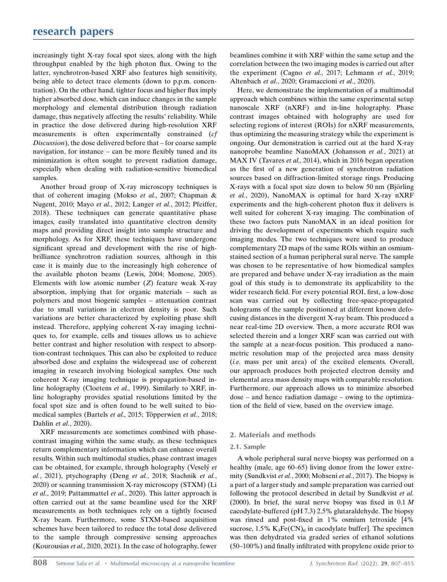increasingly tight X-ray focal spot sizes, along with the high throughput enabled by the high photon flux. Owing to the latter, synchrotron-based XRF also features high sensitivity, being able to detect trace elements (down to p.p.m. concentration). On the other hand, tighter focus and higher flux imply higher absorbed dose, which can induce changes in the sample morphology and elemental distribution through radiation damage, thus negatively affecting the results' reliability. While in practice the dose delivered during high-resolution XRF measurements is often experimentally constrained (cf Discussion), the dose delivered before that – for coarse sample navigation, for instance – can be more flexibly tuned and its minimization is often sought to prevent radiation damage, especially when dealing with radiation-sensitive biomedical samples.

Another broad group of X-ray microscopy techniques is that of coherent imaging (Mokso et al., 2007; Chapman & Nugent, 2010; Mayo et al., 2012; Langer et al., 2012; Pfeiffer, 2018). These techniques can generate quantitative phase images, easily translated into quantitative electron density maps and providing direct insight into sample structure and morphology. As for XRF, these techniques have undergone significant spread and development with the rise of highbrilliance synchrotron radiation sources, although in this case it is mainly due to the increasingly high coherence of the available photon beams (Lewis, 2004; Momose, 2005). Elements with low atomic number  $(Z)$  feature weak X-ray absorption, implying that for organic materials – such as polymers and most biogenic samples – attenuation contrast due to small variations in electron density is poor. Such variations are better characterized by exploiting phase shift instead. Therefore, applying coherent X-ray imaging techniques to, for example, cells and tissues allows us to achieve better contrast and higher resolution with respect to absorption-contrast techniques. This can also be exploited to reduce absorbed dose and explains the widespread use of coherent imaging in research involving biological samples. One such coherent X-ray imaging technique is propagation-based inline holography (Cloetens et al., 1999). Similarly to XRF, inline holography provides spatial resolutions limited by the focal spot size and is often found to be well suited to biomedical samples (Bartels et al., 2015; Töpperwien et al., 2018; Dahlin et al., 2020).

XRF measurements are sometimes combined with phasecontrast imaging within the same study, as these techniques return complementary information which can enhance overall results. Within such multimodal studies, phase contrast images can be obtained, for example, through holography (Vesely<sup>et</sup> al., 2021), ptychography (Deng et al., 2018; Stachnik et al., 2020) or scanning transmission X-ray microscopy (STXM) (Li et al., 2019; Pattammattel et al., 2020). This latter approach is often carried out at the same beamline used for the XRF measurements as both techniques rely on a tightly focused X-ray beam. Furthermore, some STXM-based acquisition schemes have been tailored to reduce the total dose delivered to the sample through compressive sensing approaches (Kourousias et al., 2020, 2021). In the case of holography, fewer

beamlines combine it with XRF within the same setup and the correlation between the two imaging modes is carried out after the experiment (Cagno et al., 2017; Lehmann et al., 2019; Altenbach et al., 2020; Gramaccioni et al., 2020).

Here, we demonstrate the implementation of a multimodal approach which combines within the same experimental setup nanoscale XRF (nXRF) and in-line holography. Phase contrast images obtained with holography are used for selecting regions of interest (ROIs) for nXRF measurements, thus optimizing the measuring strategy while the experiment is ongoing. Our demonstration is carried out at the hard X-ray nanoprobe beamline NanoMAX (Johansson et al., 2021) at MAX IV (Tavares et al., 2014), which in 2016 began operation as the first of a new generation of synchrotron radiation sources based on diffraction-limited storage rings. Producing X-rays with a focal spot size down to below 50 nm (Björling) et al., 2020), NanoMAX is optimal for hard X-ray nXRF experiments and the high-coherent photon flux it delivers is well suited for coherent X-ray imaging. The combination of these two factors puts NanoMAX in an ideal position for driving the development of experiments which require such imaging modes. The two techniques were used to produce complementary 2D maps of the same ROIs within an osmiumstained section of a human peripheral sural nerve. The sample was chosen to be representative of how biomedical samples are prepared and behave under X-ray irradiation as the main goal of this study is to demonstrate its applicability to the wider research field. For every potential ROI, first, a low-dose scan was carried out by collecting free-space-propagated holograms of the sample positioned at different known defocusing distances in the divergent X-ray beam. This produced a near real-time 2D overview. Then, a more accurate ROI was selected therein and a longer XRF scan was carried out with the sample at a near-focus position. This produced a nanometric resolution map of the projected area mass density (i.e. mass per unit area) of the excited elements. Overall, our approach produces both projected electron density and elemental area mass density maps with comparable resolution. Furthermore, our approach allows us to minimize absorbed dose – and hence radiation damage – owing to the optimization of the field of view, based on the overview image.

## 2. Materials and methods

## 2.1. Sample

A whole peripheral sural nerve biopsy was performed on a healthy (male, age 60–65) living donor from the lower extremity (Sundkvist et al., 2000; Mohseni et al., 2017). The biopsy is a part of a larger study and sample preparation was carried out following the protocol described in detail by Sundkvist et al. (2000). In brief, the sural nerve biopsy was fixed in  $0.1 M$ cacodylate-buffered (pH 7.3) 2.5% glutaraldehyde. The biopsy was rinsed and post-fixed in 1% osmium tetroxide [4% sucrose,  $1.5\%$  K<sub>3</sub>Fe(CN)<sub>6</sub> in cacodylate buffer]. The specimen was then dehydrated via graded series of ethanol solutions (50–100%) and finally infiltrated with propylene oxide prior to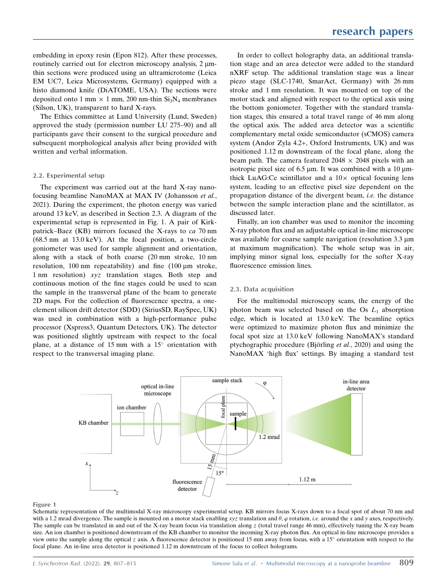embedding in epoxy resin (Epon 812). After these processes, routinely carried out for electron microscopy analysis, 2  $\mu$ mthin sections were produced using an ultramicrotome (Leica EM UC7, Leica Microsystems, Germany) equipped with a histo diamond knife (DiATOME, USA). The sections were deposited onto 1 mm  $\times$  1 mm, 200 nm-thin Si<sub>3</sub>N<sub>4</sub> membranes (Silson, UK), transparent to hard X-rays.

The Ethics committee at Lund University (Lund, Sweden) approved the study (permission number LU 275–90) and all participants gave their consent to the surgical procedure and subsequent morphological analysis after being provided with written and verbal information.

## 2.2. Experimental setup

The experiment was carried out at the hard X-ray nanofocusing beamline NanoMAX at MAX IV (Johansson et al., 2021). During the experiment, the photon energy was varied around 13 keV, as described in Section 2.3. A diagram of the experimental setup is represented in Fig. 1. A pair of Kirkpatrick–Baez (KB) mirrors focused the X-rays to ca 70 nm (68.5 nm at 13.0 keV). At the focal position, a two-circle goniometer was used for sample alignment and orientation, along with a stack of both coarse (20 mm stroke, 10 nm resolution, 100 nm repeatability) and fine  $(100 \mu m$  stroke, 1 nm resolution) xyz translation stages. Both step and continuous motion of the fine stages could be used to scan the sample in the transversal plane of the beam to generate 2D maps. For the collection of fluorescence spectra, a oneelement silicon drift detector (SDD) (SiriusSD, RaySpec, UK) was used in combination with a high-performance pulse processor (Xspress3, Quantum Detectors, UK). The detector was positioned slightly upstream with respect to the focal plane, at a distance of 15 mm with a  $15^{\circ}$  orientation with respect to the transversal imaging plane.

In order to collect holography data, an additional translation stage and an area detector were added to the standard nXRF setup. The additional translation stage was a linear piezo stage (SLC-1740, SmarAct, Germany) with 26 mm stroke and 1 nm resolution. It was mounted on top of the motor stack and aligned with respect to the optical axis using the bottom goniometer. Together with the standard translation stages, this ensured a total travel range of 46 mm along the optical axis. The added area detector was a scientific complementary metal oxide semiconductor (sCMOS) camera system (Andor Zyla 4.2+, Oxford Instruments, UK) and was positioned 1.12 m downstream of the focal plane, along the beam path. The camera featured  $2048 \times 2048$  pixels with an isotropic pixel size of 6.5  $\mu$ m. It was combined with a 10  $\mu$ mthick LuAG: Ce scintillator and a  $10\times$  optical focusing lens system, leading to an effective pixel size dependent on the propagation distance of the divergent beam, i.e. the distance between the sample interaction plane and the scintillator, as discussed later.

Finally, an ion chamber was used to monitor the incoming X-ray photon flux and an adjustable optical in-line microscope was available for coarse sample navigation (resolution 3.3  $\mu$ m at maximum magnification). The whole setup was in air, implying minor signal loss, especially for the softer X-ray fluorescence emission lines.

## 2.3. Data acquisition

For the multimodal microscopy scans, the energy of the photon beam was selected based on the Os  $L_1$  absorption edge, which is located at 13.0 keV. The beamline optics were optimized to maximize photon flux and minimize the focal spot size at 13.0 keV following NanoMAX's standard ptychographic procedure (Björling *et al.*, 2020) and using the NanoMAX 'high flux' settings. By imaging a standard test



#### Figure 1

Schematic representation of the multimodal X-ray microscopy experimental setup. KB mirrors focus X-rays down to a focal spot of about 70 nm and with a 1.2 mrad divergence. The sample is mounted on a motor stack enabling xyz translation and  $\theta$ ,  $\varphi$  rotation, *i.e.* around the x and y axes, respectively. The sample can be translated in and out of the X-ray beam focus via translation along  $z$  (total travel range 46 mm), effectively tuning the X-ray beam size. An ion chamber is positioned downstream of the KB chamber to monitor the incoming X-ray photon flux. An optical in-line microscope provides a view onto the sample along the optical z axis. A fluorescence detector is positioned 15 mm away from focus, with a 15 $^{\circ}$  orientation with respect to the focal plane. An in-line area detector is positioned 1.12 m downstream of the focus to collect holograms.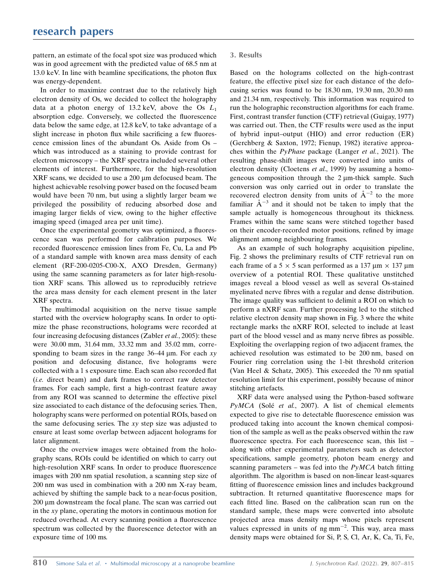pattern, an estimate of the focal spot size was produced which was in good agreement with the predicted value of 68.5 nm at 13.0 keV. In line with beamline specifications, the photon flux was energy-dependent.

In order to maximize contrast due to the relatively high electron density of Os, we decided to collect the holography data at a photon energy of 13.2 keV, above the Os  $L_1$ absorption edge. Conversely, we collected the fluorescence data below the same edge, at 12.8 keV, to take advantage of a slight increase in photon flux while sacrificing a few fluorescence emission lines of the abundant Os. Aside from Os – which was introduced as a staining to provide contrast for electron microscopy – the XRF spectra included several other elements of interest. Furthermore, for the high-resolution  $XRF$  scans, we decided to use a 200  $\mu$ m defocused beam. The highest achievable resolving power based on the focused beam would have been 70 nm, but using a slightly larger beam we privileged the possibility of reducing absorbed dose and imaging larger fields of view, owing to the higher effective imaging speed (imaged area per unit time).

Once the experimental geometry was optimized, a fluorescence scan was performed for calibration purposes. We recorded fluorescence emission lines from Fe, Cu, La and Pb of a standard sample with known area mass density of each element (RF-200-0205-C00-X, AXO Dresden, Germany) using the same scanning parameters as for later high-resolution XRF scans. This allowed us to reproducibly retrieve the area mass density for each element present in the later XRF spectra.

The multimodal acquisition on the nerve tissue sample started with the overview holography scans. In order to optimize the phase reconstructions, holograms were recorded at four increasing defocusing distances (Zabler et al., 2005): these were 30.00 mm, 31.64 mm, 33.32 mm and 35.02 mm, corresponding to beam sizes in the range  $36-44 \mu m$ . For each xy position and defocusing distance, five holograms were collected with a 1 s exposure time. Each scan also recorded flat (i.e. direct beam) and dark frames to correct raw detector frames. For each sample, first a high-contrast feature away from any ROI was scanned to determine the effective pixel size associated to each distance of the defocusing series. Then, holography scans were performed on potential ROIs, based on the same defocusing series. The xy step size was adjusted to ensure at least some overlap between adjacent holograms for later alignment.

Once the overview images were obtained from the holography scans, ROIs could be identified on which to carry out high-resolution XRF scans. In order to produce fluorescence images with 200 nm spatial resolution, a scanning step size of 200 nm was used in combination with a 200 nm X-ray beam, achieved by shifting the sample back to a near-focus position, 200 µm downstream the focal plane. The scan was carried out in the xy plane, operating the motors in continuous motion for reduced overhead. At every scanning position a fluorescence spectrum was collected by the fluorescence detector with an exposure time of 100 ms.

## 3. Results

Based on the holograms collected on the high-contrast feature, the effective pixel size for each distance of the defocusing series was found to be 18.30 nm, 19.30 nm, 20.30 nm and 21.34 nm, respectively. This information was required to run the holographic reconstruction algorithms for each frame. First, contrast transfer function (CTF) retrieval (Guigay, 1977) was carried out. Then, the CTF results were used as the input of hybrid input–output (HIO) and error reduction (ER) (Gerchberg & Saxton, 1972; Fienup, 1982) iterative approaches within the PyPhase package (Langer et al., 2021). The resulting phase-shift images were converted into units of electron density (Cloetens et al., 1999) by assuming a homogeneous composition through the  $2 \mu$ m-thick sample. Such conversion was only carried out in order to translate the recovered electron density from units of  $A^{-2}$  to the more familiar  $A^{-3}$  and it should not be taken to imply that the sample actually is homogeneous throughout its thickness. Frames within the same scans were stitched together based on their encoder-recorded motor positions, refined by image alignment among neighbouring frames.

As an example of such holography acquisition pipeline, Fig. 2 shows the preliminary results of CTF retrieval run on each frame of a  $5 \times 5$  scan performed as a 137 µm  $\times$  137 µm overview of a potential ROI. These qualitative unstitched images reveal a blood vessel as well as several Os-stained myelinated nerve fibres with a regular and dense distribution. The image quality was sufficient to delimit a ROI on which to perform a nXRF scan. Further processing led to the stitched relative electron density map shown in Fig. 3 where the white rectangle marks the nXRF ROI, selected to include at least part of the blood vessel and as many nerve fibres as possible. Exploiting the overlapping region of two adjacent frames, the achieved resolution was estimated to be 200 nm, based on Fourier ring correlation using the 1-bit threshold criterion (Van Heel & Schatz, 2005). This exceeded the 70 nm spatial resolution limit for this experiment, possibly because of minor stitching artefacts.

XRF data were analysed using the Python-based software PyMCA (Solé et al., 2007). A list of chemical elements expected to give rise to detectable fluorescence emission was produced taking into account the known chemical composition of the sample as well as the peaks observed within the raw fluorescence spectra. For each fluorescence scan, this list – along with other experimental parameters such as detector specifications, sample geometry, photon beam energy and scanning parameters – was fed into the  $PyMCA$  batch fitting algorithm. The algorithm is based on non-linear least-squares fitting of fluorescence emission lines and includes background subtraction. It returned quantitative fluorescence maps for each fitted line. Based on the calibration scan run on the standard sample, these maps were converted into absolute projected area mass density maps whose pixels represent values expressed in units of  $ng$  mm<sup>-2</sup>. This way, area mass density maps were obtained for Si, P, S, Cl, Ar, K, Ca, Ti, Fe,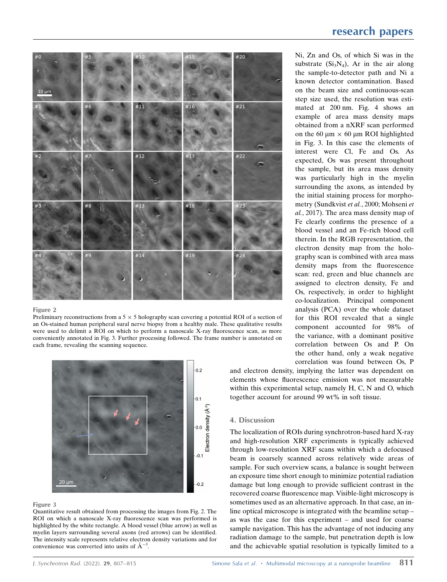

#### Figure 2

Preliminary reconstructions from a  $5 \times 5$  holography scan covering a potential ROI of a section of an Os-stained human peripheral sural nerve biopsy from a healthy male. These qualitative results were used to delimit a ROI on which to perform a nanoscale X-ray fluorescence scan, as more conveniently annotated in Fig. 3. Further processing followed. The frame number is annotated on each frame, revealing the scanning sequence.



#### Figure 3

Quantitative result obtained from processing the images from Fig. 2. The ROI on which a nanoscale X-ray fluorescence scan was performed is highlighted by the white rectangle. A blood vessel (blue arrow) as well as myelin layers surrounding several axons (red arrows) can be identified. The intensity scale represents relative electron density variations and for convenience was converted into units of  $\mathring{A}^{-3}$ .

Ni, Zn and Os, of which Si was in the substrate  $(Si_3N_4)$ , Ar in the air along the sample-to-detector path and Ni a known detector contamination. Based on the beam size and continuous-scan step size used, the resolution was estimated at 200 nm. Fig. 4 shows an example of area mass density maps obtained from a nXRF scan performed on the 60  $\mu$ m  $\times$  60  $\mu$ m ROI highlighted in Fig. 3. In this case the elements of interest were Cl, Fe and Os. As expected, Os was present throughout the sample, but its area mass density was particularly high in the myelin surrounding the axons, as intended by the initial staining process for morphometry (Sundkvist et al., 2000; Mohseni et al., 2017). The area mass density map of Fe clearly confirms the presence of a blood vessel and an Fe-rich blood cell therein. In the RGB representation, the electron density map from the holography scan is combined with area mass density maps from the fluorescence scan: red, green and blue channels are assigned to electron density, Fe and Os, respectively, in order to highlight co-localization. Principal component analysis (PCA) over the whole dataset for this ROI revealed that a single component accounted for 98% of the variance, with a dominant positive correlation between Os and P. On the other hand, only a weak negative correlation was found between Os, P

and electron density, implying the latter was dependent on elements whose fluorescence emission was not measurable within this experimental setup, namely H, C, N and O, which together account for around 99 wt% in soft tissue.

## 4. Discussion

The localization of ROIs during synchrotron-based hard X-ray and high-resolution XRF experiments is typically achieved through low-resolution XRF scans within which a defocused beam is coarsely scanned across relatively wide areas of sample. For such overview scans, a balance is sought between an exposure time short enough to minimize potential radiation damage but long enough to provide sufficient contrast in the recovered coarse fluorescence map. Visible-light microscopy is sometimes used as an alternative approach. In that case, an inline optical microscope is integrated with the beamline setup – as was the case for this experiment – and used for coarse sample navigation. This has the advantage of not inducing any radiation damage to the sample, but penetration depth is low and the achievable spatial resolution is typically limited to a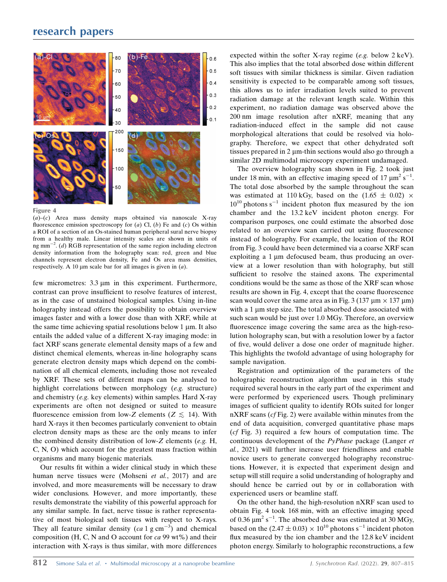## research papers



Figure 4

 $(a)$ – $(c)$  Area mass density maps obtained via nanoscale X-ray fluorescence emission spectroscopy for  $(a)$  Cl,  $(b)$  Fe and  $(c)$  Os within a ROI of a section of an Os-stained human peripheral sural nerve biopsy from a healthy male. Linear intensity scales are shown in units of ng mm<sup>-2</sup>. (d) RGB representation of the same region including electron density information from the holography scan: red, green and blue channels represent electron density, Fe and Os area mass densities, respectively. A 10  $\mu$ m scale bar for all images is given in (*a*).

few micrometres:  $3.3 \mu m$  in this experiment. Furthermore, contrast can prove insufficient to resolve features of interest, as in the case of unstained biological samples. Using in-line holography instead offers the possibility to obtain overview images faster and with a lower dose than with XRF, while at the same time achieving spatial resolutions below 1  $\mu$ m. It also entails the added value of a different X-ray imaging mode: in fact XRF scans generate elemental density maps of a few and distinct chemical elements, whereas in-line holography scans generate electron density maps which depend on the combination of all chemical elements, including those not revealed by XRF. These sets of different maps can be analysed to highlight correlations between morphology (e.g. structure) and chemistry (e.g. key elements) within samples. Hard X-ray experiments are often not designed or suited to measure fluorescence emission from low-Z elements ( $Z \le 14$ ). With hard X-rays it then becomes particularly convenient to obtain electron density maps as these are the only means to infer the combined density distribution of low-Z elements (e.g. H, C, N, O) which account for the greatest mass fraction within organisms and many biogenic materials.

Our results fit within a wider clinical study in which these human nerve tissues were (Mohseni et al., 2017) and are involved, and more measurements will be necessary to draw wider conclusions. However, and more importantly, these results demonstrate the viability of this powerful approach for any similar sample. In fact, nerve tissue is rather representative of most biological soft tissues with respect to X-rays. They all feature similar density  $(ca 1 g cm<sup>-3</sup>)$  and chemical composition (H, C, N and O account for  $ca$  99 wt%) and their interaction with X-rays is thus similar, with more differences expected within the softer X-ray regime (e.g. below 2 keV). This also implies that the total absorbed dose within different soft tissues with similar thickness is similar. Given radiation sensitivity is expected to be comparable among soft tissues, this allows us to infer irradiation levels suited to prevent radiation damage at the relevant length scale. Within this experiment, no radiation damage was observed above the 200 nm image resolution after nXRF, meaning that any radiation-induced effect in the sample did not cause morphological alterations that could be resolved via holography. Therefore, we expect that other dehydrated soft tissues prepared in  $2 \mu m$ -thin sections would also go through a similar 2D multimodal microscopy experiment undamaged.

The overview holography scan shown in Fig. 2 took just under 18 min, with an effective imaging speed of 17  $\mu$ m<sup>2</sup> s<sup>-1</sup>. The total dose absorbed by the sample throughout the scan was estimated at 110 kGy, based on the  $(1.65 \pm 0.02)$  ×  $10^{10}$  photons s<sup>-1</sup> incident photon flux measured by the ion chamber and the 13.2 keV incident photon energy. For comparison purposes, one could estimate the absorbed dose related to an overview scan carried out using fluorescence instead of holography. For example, the location of the ROI from Fig. 3 could have been determined via a coarse XRF scan exploiting a  $1 \mu m$  defocused beam, thus producing an overview at a lower resolution than with holography, but still sufficient to resolve the stained axons. The experimental conditions would be the same as those of the XRF scan whose results are shown in Fig. 4, except that the coarse fluorescence scan would cover the same area as in Fig. 3 (137  $\mu$ m  $\times$  137  $\mu$ m) with a  $1 \mu m$  step size. The total absorbed dose associated with such scan would be just over 1.0 MGy. Therefore, an overview fluorescence image covering the same area as the high-resolution holography scan, but with a resolution lower by a factor of five, would deliver a dose one order of magnitude higher. This highlights the twofold advantage of using holography for sample navigation.

Registration and optimization of the parameters of the holographic reconstruction algorithm used in this study required several hours in the early part of the experiment and were performed by experienced users. Though preliminary images of sufficient quality to identify ROIs suited for longer nXRF scans (*cf* Fig. 2) were available within minutes from the end of data acquisition, converged quantitative phase maps (cf Fig. 3) required a few hours of computation time. The continuous development of the PyPhase package (Langer et al., 2021) will further increase user friendliness and enable novice users to generate converged holography reconstructions. However, it is expected that experiment design and setup will still require a solid understanding of holography and should hence be carried out by or in collaboration with experienced users or beamline staff.

On the other hand, the high-resolution nXRF scan used to obtain Fig. 4 took 168 min, with an effective imaging speed of 0.36  $\mu$ m<sup>2</sup> s<sup>-1</sup>. The absorbed dose was estimated at 30 MGy, based on the  $(2.47 \pm 0.03) \times 10^{10}$  photons s<sup>-1</sup> incident photon flux measured by the ion chamber and the 12.8 keV incident photon energy. Similarly to holographic reconstructions, a few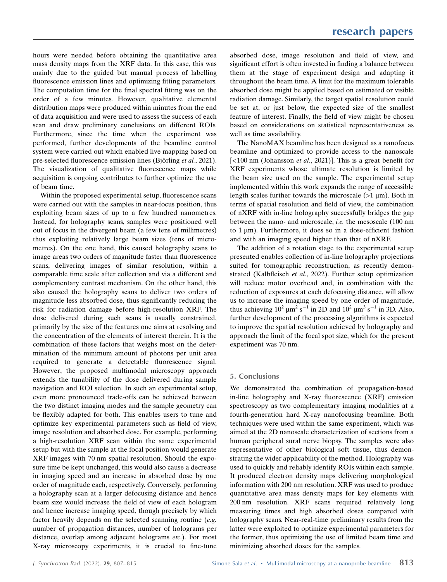hours were needed before obtaining the quantitative area mass density maps from the XRF data. In this case, this was mainly due to the guided but manual process of labelling fluorescence emission lines and optimizing fitting parameters. The computation time for the final spectral fitting was on the order of a few minutes. However, qualitative elemental distribution maps were produced within minutes from the end of data acquisition and were used to assess the success of each scan and draw preliminary conclusions on different ROIs. Furthermore, since the time when the experiment was performed, further developments of the beamline control system were carried out which enabled live mapping based on pre-selected fluorescence emission lines (Björling et al., 2021). The visualization of qualitative fluorescence maps while acquisition is ongoing contributes to further optimize the use of beam time.

Within the proposed experimental setup, fluorescence scans were carried out with the samples in near-focus position, thus exploiting beam sizes of up to a few hundred nanometres. Instead, for holography scans, samples were positioned well out of focus in the divergent beam (a few tens of millimetres) thus exploiting relatively large beam sizes (tens of micrometres). On the one hand, this caused holography scans to image areas two orders of magnitude faster than fluorescence scans, delivering images of similar resolution, within a comparable time scale after collection and via a different and complementary contrast mechanism. On the other hand, this also caused the holography scans to deliver two orders of magnitude less absorbed dose, thus significantly reducing the risk for radiation damage before high-resolution XRF. The dose delivered during such scans is usually constrained, primarily by the size of the features one aims at resolving and the concentration of the elements of interest therein. It is the combination of these factors that weighs most on the determination of the minimum amount of photons per unit area required to generate a detectable fluorescence signal. However, the proposed multimodal microscopy approach extends the tunability of the dose delivered during sample navigation and ROI selection. In such an experimental setup, even more pronounced trade-offs can be achieved between the two distinct imaging modes and the sample geometry can be flexibly adapted for both. This enables users to tune and optimize key experimental parameters such as field of view, image resolution and absorbed dose. For example, performing a high-resolution XRF scan within the same experimental setup but with the sample at the focal position would generate XRF images with 70 nm spatial resolution. Should the exposure time be kept unchanged, this would also cause a decrease in imaging speed and an increase in absorbed dose by one order of magnitude each, respectively. Conversely, performing a holography scan at a larger defocusing distance and hence beam size would increase the field of view of each hologram and hence increase imaging speed, though precisely by which factor heavily depends on the selected scanning routine (e.g. number of propagation distances, number of holograms per distance, overlap among adjacent holograms etc.). For most X-ray microscopy experiments, it is crucial to fine-tune

absorbed dose, image resolution and field of view, and significant effort is often invested in finding a balance between them at the stage of experiment design and adapting it throughout the beam time. A limit for the maximum tolerable absorbed dose might be applied based on estimated or visible radiation damage. Similarly, the target spatial resolution could be set at, or just below, the expected size of the smallest feature of interest. Finally, the field of view might be chosen based on considerations on statistical representativeness as well as time availability.

The NanoMAX beamline has been designed as a nanofocus beamline and optimized to provide access to the nanoscale  $\left[$  <100 nm (Johansson *et al.*, 2021)]. This is a great benefit for XRF experiments whose ultimate resolution is limited by the beam size used on the sample. The experimental setup implemented within this work expands the range of accessible length scales further towards the microscale  $(>1 \mu m)$ . Both in terms of spatial resolution and field of view, the combination of nXRF with in-line holography successfully bridges the gap between the nano- and microscale, i.e. the mesoscale (100 nm to  $1 \mu m$ ). Furthermore, it does so in a dose-efficient fashion and with an imaging speed higher than that of nXRF.

The addition of a rotation stage to the experimental setup presented enables collection of in-line holography projections suited for tomographic reconstruction, as recently demonstrated (Kalbfleisch et al., 2022). Further setup optimization will reduce motor overhead and, in combination with the reduction of exposures at each defocusing distance, will allow us to increase the imaging speed by one order of magnitude, thus achieving  $10^2 \mu m^2 s^{-1}$  in 2D and  $10^2 \mu m^3 s^{-1}$  in 3D. Also, further development of the processing algorithms is expected to improve the spatial resolution achieved by holography and approach the limit of the focal spot size, which for the present experiment was 70 nm.

## 5. Conclusions

We demonstrated the combination of propagation-based in-line holography and X-ray fluorescence (XRF) emission spectroscopy as two complementary imaging modalities at a fourth-generation hard X-ray nanofocusing beamline. Both techniques were used within the same experiment, which was aimed at the 2D nanoscale characterization of sections from a human peripheral sural nerve biopsy. The samples were also representative of other biological soft tissue, thus demonstrating the wider applicability of the method. Holography was used to quickly and reliably identify ROIs within each sample. It produced electron density maps delivering morphological information with 200 nm resolution. XRF was used to produce quantitative area mass density maps for key elements with 200 nm resolution. XRF scans required relatively long measuring times and high absorbed doses compared with holography scans. Near-real-time preliminary results from the latter were exploited to optimize experimental parameters for the former, thus optimizing the use of limited beam time and minimizing absorbed doses for the samples.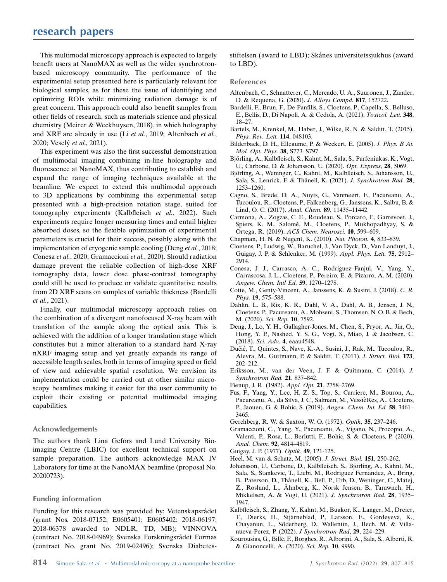This multimodal microscopy approach is expected to largely benefit users at NanoMAX as well as the wider synchrotronbased microscopy community. The performance of the experimental setup presented here is particularly relevant for biological samples, as for these the issue of identifying and optimizing ROIs while minimizing radiation damage is of great concern. This approach could also benefit samples from other fields of research, such as materials science and physical chemistry (Meirer & Weckhuysen, 2018), in which holography and XRF are already in use (Li et al., 2019; Altenbach et al., 2020; Veselý et al., 2021).

This experiment was also the first successful demonstration of multimodal imaging combining in-line holography and fluorescence at NanoMAX, thus contributing to establish and expand the range of imaging techniques available at the beamline. We expect to extend this multimodal approach to 3D applications by combining the experimental setup presented with a high-precision rotation stage, suited for tomography experiments (Kalbfleisch et al., 2022). Such experiments require longer measuring times and entail higher absorbed doses, so the flexible optimization of experimental parameters is crucial for their success, possibly along with the implementation of cryogenic sample cooling (Deng et al., 2018; Conesa et al., 2020; Gramaccioni et al., 2020). Should radiation damage prevent the reliable collection of high-dose XRF tomography data, lower dose phase-contrast tomography could still be used to produce or validate quantitative results from 2D XRF scans on samples of variable thickness (Bardelli et al., 2021).

Finally, our multimodal microscopy approach relies on the combination of a divergent nanofocused X-ray beam with translation of the sample along the optical axis. This is achieved with the addition of a longer translation stage which constitutes but a minor alteration to a standard hard X-ray nXRF imaging setup and yet greatly expands its range of accessible length scales, both in terms of imaging speed or field of view and achievable spatial resolution. We envision its implementation could be carried out at other similar microscopy beamlines making it easier for the user community to exploit their existing or potential multimodal imaging capabilities.

## Acknowledgements

The authors thank Lina Gefors and Lund University Bioimaging Centre (LBIC) for excellent technical support on sample preparation. The authors acknowledge MAX IV Laboratory for time at the NanoMAX beamline (proposal No. 20200723).

## Funding information

Funding for this research was provided by: Vetenskapsrådet (grant Nos. 2018-07152; E0605401; E0605402; 2018-06197; 2018-06378 awarded to NDLR, TD, MB); VINNOVA (contract No. 2018-04969); Svenska Forskningsrådet Formas (contract No. grant No. 2019-02496); Svenska Diabetesstiftelsen (award to LBD); Skånes universitetssjukhus (award to LBD).

## References

- [Altenbach, C., Schnatterer, C., Mercado, U. A., Suuronen, J., Zander,](http://scripts.iucr.org/cgi-bin/cr.cgi?rm=pdfbb&cnor=fv5146&bbid=BB1) [D. & Requena, G. \(2020\).](http://scripts.iucr.org/cgi-bin/cr.cgi?rm=pdfbb&cnor=fv5146&bbid=BB1) J. Alloys Compd. 817, 152722.
- [Bardelli, F., Brun, F., De Panfilis, S., Cloetens, P., Capella, S., Belluso,](http://scripts.iucr.org/cgi-bin/cr.cgi?rm=pdfbb&cnor=fv5146&bbid=BB2) [E., Bellis, D., Di Napoli, A. & Cedola, A. \(2021\).](http://scripts.iucr.org/cgi-bin/cr.cgi?rm=pdfbb&cnor=fv5146&bbid=BB2) Toxicol. Lett. 348, [18–27.](http://scripts.iucr.org/cgi-bin/cr.cgi?rm=pdfbb&cnor=fv5146&bbid=BB2)
- [Bartels, M., Krenkel, M., Haber, J., Wilke, R. N. & Salditt, T. \(2015\).](http://scripts.iucr.org/cgi-bin/cr.cgi?rm=pdfbb&cnor=fv5146&bbid=BB3) [Phys. Rev. Lett.](http://scripts.iucr.org/cgi-bin/cr.cgi?rm=pdfbb&cnor=fv5146&bbid=BB3) 114, 048103.
- [Bilderback, D. H., Elleaume, P. & Weckert, E. \(2005\).](http://scripts.iucr.org/cgi-bin/cr.cgi?rm=pdfbb&cnor=fv5146&bbid=BB4) J. Phys. B At. [Mol. Opt. Phys.](http://scripts.iucr.org/cgi-bin/cr.cgi?rm=pdfbb&cnor=fv5146&bbid=BB4) 38, S773–S797.
- Björling, A., Kalbfleisch, S., Kahnt, M., Sala, S., Parfeniukas, K., Vogt, [U., Carbone, D. & Johansson, U. \(2020\).](http://scripts.iucr.org/cgi-bin/cr.cgi?rm=pdfbb&cnor=fv5146&bbid=BB5) Opt. Express, 28, 5069.
- Björling, A., Weninger, C., Kahnt, M., Kalbfleisch, S., Johansson, U., Sala, S., Lenrick, F. & Thånell, K. (2021). J. Synchrotron Rad. 28, [1253–1260.](http://scripts.iucr.org/cgi-bin/cr.cgi?rm=pdfbb&cnor=fv5146&bbid=BB6)
- [Cagno, S., Brede, D. A., Nuyts, G., Vanmeert, F., Pacureanu, A.,](http://scripts.iucr.org/cgi-bin/cr.cgi?rm=pdfbb&cnor=fv5146&bbid=BB7) [Tucoulou, R., Cloetens, P., Falkenberg, G., Janssens, K., Salbu, B. &](http://scripts.iucr.org/cgi-bin/cr.cgi?rm=pdfbb&cnor=fv5146&bbid=BB7) [Lind, O. C. \(2017\).](http://scripts.iucr.org/cgi-bin/cr.cgi?rm=pdfbb&cnor=fv5146&bbid=BB7) Anal. Chem. 89, 11435–11442.
- [Carmona, A., Zogzas, C. E., Roudeau, S., Porcaro, F., Garrevoet, J.,](http://scripts.iucr.org/cgi-bin/cr.cgi?rm=pdfbb&cnor=fv5146&bbid=BB8) Spiers, K. M., Salomé, M., Cloetens, P., Mukhopadhyay, S. & Ortega, R. (2019). [ACS Chem. Neurosci.](http://scripts.iucr.org/cgi-bin/cr.cgi?rm=pdfbb&cnor=fv5146&bbid=BB8) 10, 599–609.
- [Chapman, H. N. & Nugent, K. \(2010\).](http://scripts.iucr.org/cgi-bin/cr.cgi?rm=pdfbb&cnor=fv5146&bbid=BB9) Nat. Photon. 4, 833–839.
- [Cloetens, P., Ludwig, W., Baruchel, J., Van Dyck, D., Van Landuyt, J.,](http://scripts.iucr.org/cgi-bin/cr.cgi?rm=pdfbb&cnor=fv5146&bbid=BB10) [Guigay, J. P. & Schlenker, M. \(1999\).](http://scripts.iucr.org/cgi-bin/cr.cgi?rm=pdfbb&cnor=fv5146&bbid=BB10) Appl. Phys. Lett. 75, 2912– [2914.](http://scripts.iucr.org/cgi-bin/cr.cgi?rm=pdfbb&cnor=fv5146&bbid=BB10)
- Conesa, J. J., Carrasco, A. C., Rodríguez-Fanjul, V., Yang, Y., [Carrascosa, J. L., Cloetens, P., Pereiro, E. & Pizarro, A. M. \(2020\).](http://scripts.iucr.org/cgi-bin/cr.cgi?rm=pdfbb&cnor=fv5146&bbid=BB11) [Angew. Chem. Intl Ed.](http://scripts.iucr.org/cgi-bin/cr.cgi?rm=pdfbb&cnor=fv5146&bbid=BB11) 59, 1270–1278.
- [Cotte, M., Genty-Vincent, A., Janssens, K. & Susini, J. \(2018\).](http://scripts.iucr.org/cgi-bin/cr.cgi?rm=pdfbb&cnor=fv5146&bbid=BB12) C. R. Phys. 19[, 575–588.](http://scripts.iucr.org/cgi-bin/cr.cgi?rm=pdfbb&cnor=fv5146&bbid=BB12)
- [Dahlin, L. B., Rix, K. R., Dahl, V. A., Dahl, A. B., Jensen, J. N.,](http://scripts.iucr.org/cgi-bin/cr.cgi?rm=pdfbb&cnor=fv5146&bbid=BB13) [Cloetens, P., Pacureanu, A., Mohseni, S., Thomsen, N. O. B. & Bech,](http://scripts.iucr.org/cgi-bin/cr.cgi?rm=pdfbb&cnor=fv5146&bbid=BB13) [M. \(2020\).](http://scripts.iucr.org/cgi-bin/cr.cgi?rm=pdfbb&cnor=fv5146&bbid=BB13) Sci. Rep. 10, 7592.
- [Deng, J., Lo, Y. H., Gallagher-Jones, M., Chen, S., Pryor, A., Jin, Q.,](http://scripts.iucr.org/cgi-bin/cr.cgi?rm=pdfbb&cnor=fv5146&bbid=BB14) [Hong, Y. P., Nashed, Y. S. G., Vogt, S., Miao, J. & Jacobsen, C.](http://scripts.iucr.org/cgi-bin/cr.cgi?rm=pdfbb&cnor=fv5146&bbid=BB14) (2018). Sci. Adv. 4[, eaau4548.](http://scripts.iucr.org/cgi-bin/cr.cgi?rm=pdfbb&cnor=fv5146&bbid=BB14)
- Dučić, T., Quintes, S., Nave, K.-A., Susini, J., Rak, M., Tucoulou, R., [Alevra, M., Guttmann, P. & Salditt, T. \(2011\).](http://scripts.iucr.org/cgi-bin/cr.cgi?rm=pdfbb&cnor=fv5146&bbid=BB15) J. Struct. Biol. 173, [202–212.](http://scripts.iucr.org/cgi-bin/cr.cgi?rm=pdfbb&cnor=fv5146&bbid=BB15)
- [Eriksson, M., van der Veen, J. F. & Quitmann, C. \(2014\).](http://scripts.iucr.org/cgi-bin/cr.cgi?rm=pdfbb&cnor=fv5146&bbid=BB16) J. [Synchrotron Rad.](http://scripts.iucr.org/cgi-bin/cr.cgi?rm=pdfbb&cnor=fv5146&bbid=BB16) 21, 837–842.
- [Fienup, J. R. \(1982\).](http://scripts.iucr.org/cgi-bin/cr.cgi?rm=pdfbb&cnor=fv5146&bbid=BB17) Appl. Opt. 21, 2758–2769.
- [Fus, F., Yang, Y., Lee, H. Z. S., Top, S., Carriere, M., Bouron, A.,](http://scripts.iucr.org/cgi-bin/cr.cgi?rm=pdfbb&cnor=fv5146&bbid=BB18) Pacureanu, A., da Silva, J. C., Salmain, M., VessièRes, A., Cloetens, [P., Jaouen, G. & Bohic, S. \(2019\).](http://scripts.iucr.org/cgi-bin/cr.cgi?rm=pdfbb&cnor=fv5146&bbid=BB18) Angew. Chem. Int. Ed. 58, 3461– [3465.](http://scripts.iucr.org/cgi-bin/cr.cgi?rm=pdfbb&cnor=fv5146&bbid=BB18)
- [Gerchberg, R. W. & Saxton, W. O. \(1972\).](http://scripts.iucr.org/cgi-bin/cr.cgi?rm=pdfbb&cnor=fv5146&bbid=BB19) Optik, 35, 237–246.
- [Gramaccioni, C., Yang, Y., Pacureanu, A., Vigano, N., Procopio, A.,](http://scripts.iucr.org/cgi-bin/cr.cgi?rm=pdfbb&cnor=fv5146&bbid=BB20) [Valenti, P., Rosa, L., Berlutti, F., Bohic, S. & Cloetens, P. \(2020\).](http://scripts.iucr.org/cgi-bin/cr.cgi?rm=pdfbb&cnor=fv5146&bbid=BB20) [Anal. Chem.](http://scripts.iucr.org/cgi-bin/cr.cgi?rm=pdfbb&cnor=fv5146&bbid=BB20) 92, 4814–4819.
- [Guigay, J. P. \(1977\).](http://scripts.iucr.org/cgi-bin/cr.cgi?rm=pdfbb&cnor=fv5146&bbid=BB21) Optik, 49, 121-125.
- [Heel, M. van & Schatz, M. \(2005\).](http://scripts.iucr.org/cgi-bin/cr.cgi?rm=pdfbb&cnor=fv5146&bbid=BB47) J. Struct. Biol. 151, 250–262.
- Johansson, U., Carbone, D., Kalbfleisch, S., Björling, A., Kahnt, M., [Sala, S., Stankevic, T., Liebi, M., Rodriguez Fernandez, A., Bring,](http://scripts.iucr.org/cgi-bin/cr.cgi?rm=pdfbb&cnor=fv5146&bbid=BB22) B., Paterson, D., Thånell, K., Bell, P., Erb, D., Weninger, C., Matej, Z., Roslund, L., A[hnberg, K., Norsk Jensen, B., Tarawneh, H.,](http://scripts.iucr.org/cgi-bin/cr.cgi?rm=pdfbb&cnor=fv5146&bbid=BB22) [Mikkelsen, A. & Vogt, U. \(2021\).](http://scripts.iucr.org/cgi-bin/cr.cgi?rm=pdfbb&cnor=fv5146&bbid=BB22) J. Synchrotron Rad. 28, 1935– [1947.](http://scripts.iucr.org/cgi-bin/cr.cgi?rm=pdfbb&cnor=fv5146&bbid=BB22)
- [Kalbfleisch, S., Zhang, Y., Kahnt, M., Buakor, K., Langer, M., Dreier,](http://scripts.iucr.org/cgi-bin/cr.cgi?rm=pdfbb&cnor=fv5146&bbid=BB783) T., Dierks, H., Stjärneblad, P., Larsson, E., Gordeyeva, K., Chayanun, L., Söderberg, D., Wallentin, J., Bech, M. & Villa[nueva-Perez, P. \(2022\).](http://scripts.iucr.org/cgi-bin/cr.cgi?rm=pdfbb&cnor=fv5146&bbid=BB783) J Synchrotron Rad, 29, 224–229.
- [Kourousias, G., Bille`, F., Borghes, R., Alborini, A., Sala, S., Alberti, R.](http://scripts.iucr.org/cgi-bin/cr.cgi?rm=pdfbb&cnor=fv5146&bbid=BB23) [& Gianoncelli, A. \(2020\).](http://scripts.iucr.org/cgi-bin/cr.cgi?rm=pdfbb&cnor=fv5146&bbid=BB23) Sci. Rep. 10, 9990.